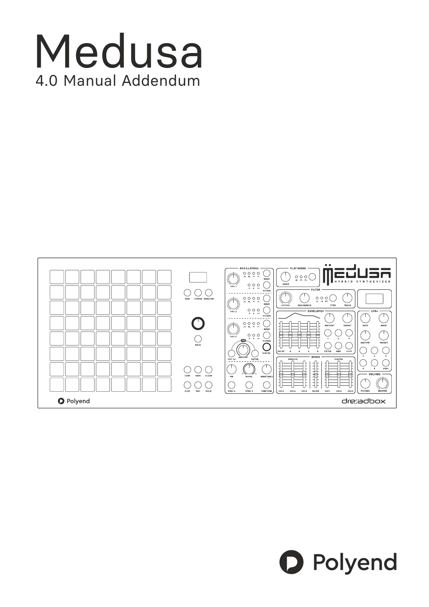# Medusa 4.0 Manual Addendum



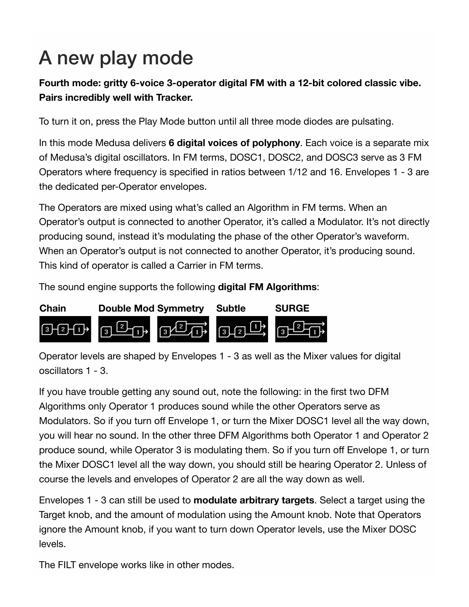# A new play mode

#### **Fourth mode: gritty 6-voice 3-operator digital FM with a 12-bit colored classic vibe. Pairs incredibly well with Tracker.**

To turn it on, press the Play Mode button until all three mode diodes are pulsating.

In this mode Medusa delivers **6 digital voices of polyphony**. Each voice is a separate mix of Medusa's digital oscillators. In FM terms, DOSC1, DOSC2, and DOSC3 serve as 3 FM Operators where frequency is specified in ratios between 1/12 and 16. Envelopes 1 - 3 are the dedicated per-Operator envelopes.

The Operators are mixed using what's called an Algorithm in FM terms. When an Operator's output is connected to another Operator, it's called a Modulator. It's not directly producing sound, instead it's modulating the phase of the other Operator's waveform. When an Operator's output is not connected to another Operator, it's producing sound. This kind of operator is called a Carrier in FM terms.

The sound engine supports the following **digital FM Algorithms**:



Operator levels are shaped by Envelopes 1 - 3 as well as the Mixer values for digital oscillators 1 - 3.

If you have trouble getting any sound out, note the following: in the first two DFM Algorithms only Operator 1 produces sound while the other Operators serve as Modulators. So if you turn off Envelope 1, or turn the Mixer DOSC1 level all the way down, you will hear no sound. In the other three DFM Algorithms both Operator 1 and Operator 2 produce sound, while Operator 3 is modulating them. So if you turn off Envelope 1, or turn the Mixer DOSC1 level all the way down, you should still be hearing Operator 2. Unless of course the levels and envelopes of Operator 2 are all the way down as well.

Envelopes 1 - 3 can still be used to **modulate arbitrary targets**. Select a target using the Target knob, and the amount of modulation using the Amount knob. Note that Operators ignore the Amount knob, if you want to turn down Operator levels, use the Mixer DOSC levels.

The FILT envelope works like in other modes.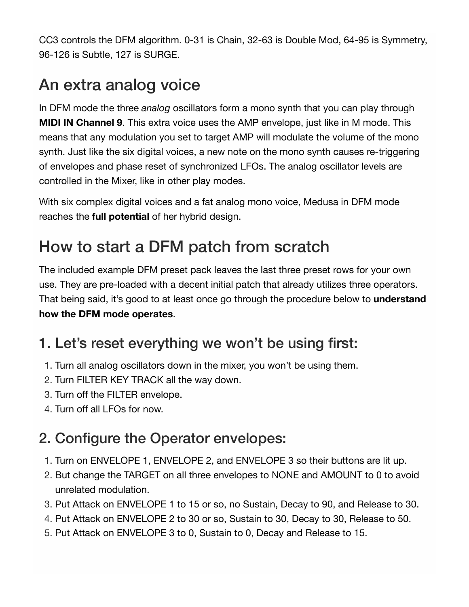CC3 controls the DFM algorithm. 0-31 is Chain, 32-63 is Double Mod, 64-95 is Symmetry, 96-126 is Subtle, 127 is SURGE.

### An extra analog voice

In DFM mode the three *analog* oscillators form a mono synth that you can play through **MIDI IN Channel 9**. This extra voice uses the AMP envelope, just like in M mode. This means that any modulation you set to target AMP will modulate the volume of the mono synth. Just like the six digital voices, a new note on the mono synth causes re-triggering of envelopes and phase reset of synchronized LFOs. The analog oscillator levels are controlled in the Mixer, like in other play modes.

With six complex digital voices and a fat analog mono voice, Medusa in DFM mode reaches the **full potential** of her hybrid design.

### How to start a DFM patch from scratch

The included example DFM preset pack leaves the last three preset rows for your own use. They are pre-loaded with a decent initial patch that already utilizes three operators. That being said, it's good to at least once go through the procedure below to **understand how the DFM mode operates**.

### 1. Let's reset everything we won't be using first:

- 1. Turn all analog oscillators down in the mixer, you won't be using them.
- 2. Turn FILTER KEY TRACK all the way down.
- 3. Turn off the FILTER envelope.
- 4. Turn off all LFOs for now.

### 2. Configure the Operator envelopes:

- 1. Turn on ENVELOPE 1, ENVELOPE 2, and ENVELOPE 3 so their buttons are lit up.
- 2. But change the TARGET on all three envelopes to NONE and AMOUNT to 0 to avoid unrelated modulation.
- 3. Put Attack on ENVELOPE 1 to 15 or so, no Sustain, Decay to 90, and Release to 30.
- 4. Put Attack on ENVELOPE 2 to 30 or so, Sustain to 30, Decay to 30, Release to 50.
- 5. Put Attack on ENVELOPE 3 to 0, Sustain to 0, Decay and Release to 15.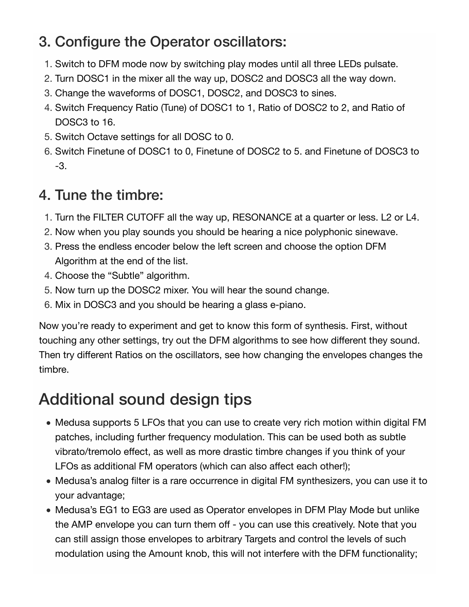### 3. Configure the Operator oscillators:

- 1. Switch to DFM mode now by switching play modes until all three LEDs pulsate.
- 2. Turn DOSC1 in the mixer all the way up, DOSC2 and DOSC3 all the way down.
- 3. Change the waveforms of DOSC1, DOSC2, and DOSC3 to sines.
- 4. Switch Frequency Ratio (Tune) of DOSC1 to 1, Ratio of DOSC2 to 2, and Ratio of DOSC3 to 16.
- 5. Switch Octave settings for all DOSC to 0.
- 6. Switch Finetune of DOSC1 to 0, Finetune of DOSC2 to 5. and Finetune of DOSC3 to -3.

#### 4. Tune the timbre:

- 1. Turn the FILTER CUTOFF all the way up, RESONANCE at a quarter or less. L2 or L4.
- 2. Now when you play sounds you should be hearing a nice polyphonic sinewave.
- 3. Press the endless encoder below the left screen and choose the option DFM Algorithm at the end of the list.
- 4. Choose the "Subtle" algorithm.
- 5. Now turn up the DOSC2 mixer. You will hear the sound change.
- 6. Mix in DOSC3 and you should be hearing a glass e-piano.

Now you're ready to experiment and get to know this form of synthesis. First, without touching any other settings, try out the DFM algorithms to see how different they sound. Then try different Ratios on the oscillators, see how changing the envelopes changes the timbre.

### Additional sound design tips

- Medusa supports 5 LFOs that you can use to create very rich motion within digital FM patches, including further frequency modulation. This can be used both as subtle vibrato/tremolo effect, as well as more drastic timbre changes if you think of your LFOs as additional FM operators (which can also affect each other!);
- Medusa's analog filter is a rare occurrence in digital FM synthesizers, you can use it to your advantage;
- Medusa's EG1 to EG3 are used as Operator envelopes in DFM Play Mode but unlike the AMP envelope you can turn them off - you can use this creatively. Note that you can still assign those envelopes to arbitrary Targets and control the levels of such modulation using the Amount knob, this will not interfere with the DFM functionality;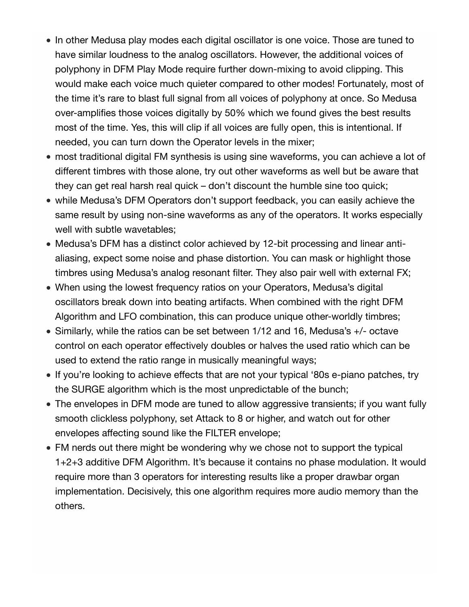- In other Medusa play modes each digital oscillator is one voice. Those are tuned to have similar loudness to the analog oscillators. However, the additional voices of polyphony in DFM Play Mode require further down-mixing to avoid clipping. This would make each voice much quieter compared to other modes! Fortunately, most of the time it's rare to blast full signal from all voices of polyphony at once. So Medusa over-amplifies those voices digitally by 50% which we found gives the best results most of the time. Yes, this will clip if all voices are fully open, this is intentional. If needed, you can turn down the Operator levels in the mixer;
- most traditional digital FM synthesis is using sine waveforms, you can achieve a lot of different timbres with those alone, try out other waveforms as well but be aware that they can get real harsh real quick – don't discount the humble sine too quick;
- while Medusa's DFM Operators don't support feedback, you can easily achieve the same result by using non-sine waveforms as any of the operators. It works especially well with subtle wavetables;
- Medusa's DFM has a distinct color achieved by 12-bit processing and linear antialiasing, expect some noise and phase distortion. You can mask or highlight those timbres using Medusa's analog resonant filter. They also pair well with external FX;
- When using the lowest frequency ratios on your Operators, Medusa's digital oscillators break down into beating artifacts. When combined with the right DFM Algorithm and LFO combination, this can produce unique other-worldly timbres;
- Similarly, while the ratios can be set between 1/12 and 16, Medusa's +/- octave control on each operator effectively doubles or halves the used ratio which can be used to extend the ratio range in musically meaningful ways;
- If you're looking to achieve effects that are not your typical '80s e-piano patches, try the SURGE algorithm which is the most unpredictable of the bunch;
- The envelopes in DFM mode are tuned to allow aggressive transients; if you want fully smooth clickless polyphony, set Attack to 8 or higher, and watch out for other envelopes affecting sound like the FILTER envelope;
- FM nerds out there might be wondering why we chose not to support the typical 1+2+3 additive DFM Algorithm. It's because it contains no phase modulation. It would require more than 3 operators for interesting results like a proper drawbar organ implementation. Decisively, this one algorithm requires more audio memory than the others.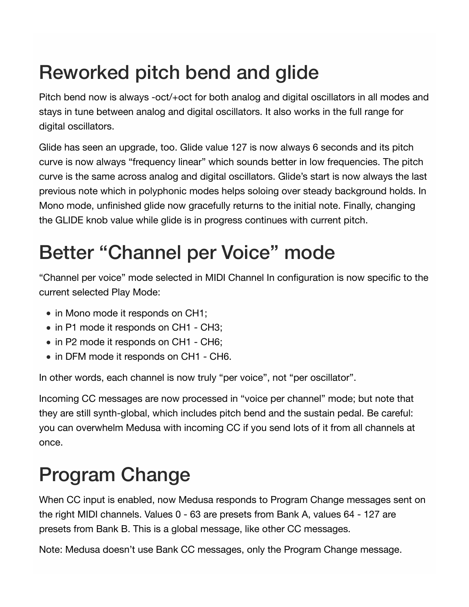# Reworked pitch bend and glide

Pitch bend now is always -oct/+oct for both analog and digital oscillators in all modes and stays in tune between analog and digital oscillators. It also works in the full range for digital oscillators.

Glide has seen an upgrade, too. Glide value 127 is now always 6 seconds and its pitch curve is now always "frequency linear" which sounds better in low frequencies. The pitch curve is the same across analog and digital oscillators. Glide's start is now always the last previous note which in polyphonic modes helps soloing over steady background holds. In Mono mode, unfinished glide now gracefully returns to the initial note. Finally, changing the GLIDE knob value while glide is in progress continues with current pitch.

# Better "Channel per Voice" mode

"Channel per voice" mode selected in MIDI Channel In configuration is now specific to the current selected Play Mode:

- in Mono mode it responds on CH1;
- in P1 mode it responds on CH1 CH3;
- in P2 mode it responds on CH1 CH6;
- in DFM mode it responds on CH1 CH6.

In other words, each channel is now truly "per voice", not "per oscillator".

Incoming CC messages are now processed in "voice per channel" mode; but note that they are still synth-global, which includes pitch bend and the sustain pedal. Be careful: you can overwhelm Medusa with incoming CC if you send lots of it from all channels at once.

### Program Change

When CC input is enabled, now Medusa responds to Program Change messages sent on the right MIDI channels. Values 0 - 63 are presets from Bank A, values 64 - 127 are presets from Bank B. This is a global message, like other CC messages.

Note: Medusa doesn't use Bank CC messages, only the Program Change message.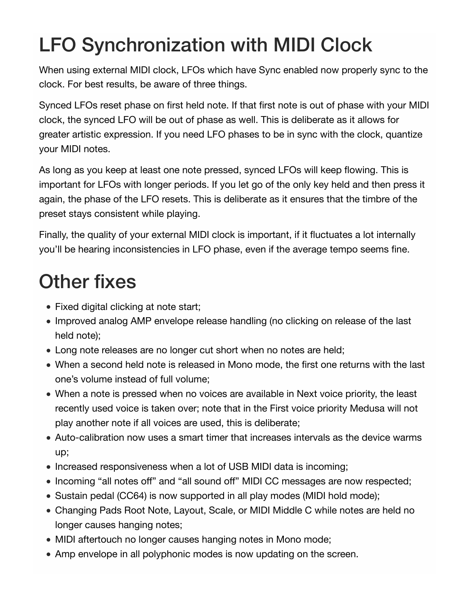# LFO Synchronization with MIDI Clock

When using external MIDI clock, LFOs which have Sync enabled now properly sync to the clock. For best results, be aware of three things.

Synced LFOs reset phase on first held note. If that first note is out of phase with your MIDI clock, the synced LFO will be out of phase as well. This is deliberate as it allows for greater artistic expression. If you need LFO phases to be in sync with the clock, quantize your MIDI notes.

As long as you keep at least one note pressed, synced LFOs will keep flowing. This is important for LFOs with longer periods. If you let go of the only key held and then press it again, the phase of the LFO resets. This is deliberate as it ensures that the timbre of the preset stays consistent while playing.

Finally, the quality of your external MIDI clock is important, if it fluctuates a lot internally you'll be hearing inconsistencies in LFO phase, even if the average tempo seems fine.

# Other fixes

- Fixed digital clicking at note start;
- Improved analog AMP envelope release handling (no clicking on release of the last held note);
- Long note releases are no longer cut short when no notes are held;
- When a second held note is released in Mono mode, the first one returns with the last one's volume instead of full volume;
- When a note is pressed when no voices are available in Next voice priority, the least recently used voice is taken over; note that in the First voice priority Medusa will not play another note if all voices are used, this is deliberate;
- Auto-calibration now uses a smart timer that increases intervals as the device warms up;
- Increased responsiveness when a lot of USB MIDI data is incoming;
- Incoming "all notes off" and "all sound off" MIDI CC messages are now respected;
- Sustain pedal (CC64) is now supported in all play modes (MIDI hold mode);
- Changing Pads Root Note, Layout, Scale, or MIDI Middle C while notes are held no longer causes hanging notes;
- MIDI aftertouch no longer causes hanging notes in Mono mode;
- Amp envelope in all polyphonic modes is now updating on the screen.